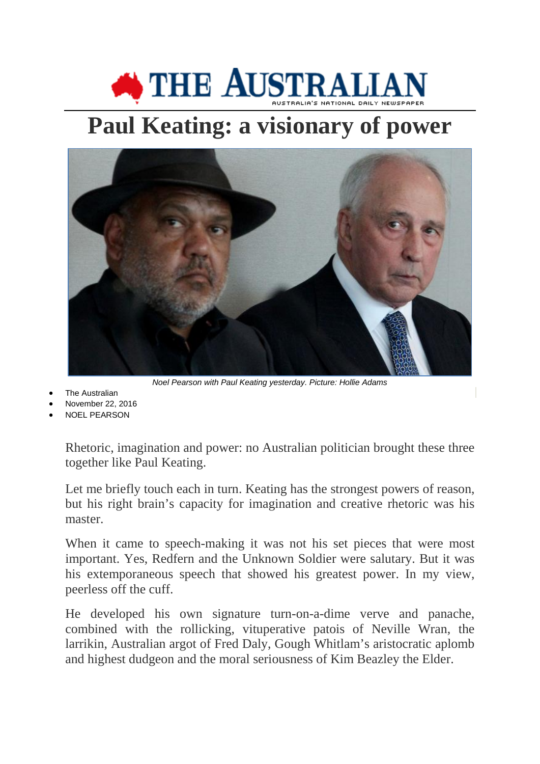## **SETTLE AUSTRALIA**

## **Paul Keating: a visionary of power**



*Noel Pearson with Paul Keating yesterday. Picture: Hollie Adams*

- The Australian
- November 22, 2016
- [NOEL PEARSON](http://www.theaustralian.com.au/author/Noel+Pearson)

Rhetoric, imagination and power: no Australian politician brought these three together like Paul Keating.

Let me briefly touch each in turn. Keating has the strongest powers of reason, but his right brain's capacity for imagination and creative rhetoric was his master.

When it came to speech-making it was not his set pieces that were most important. Yes, Redfern and the Unknown Soldier were salutary. But it was his extemporaneous speech that showed his greatest power. In my view, peerless off the cuff.

He developed his own signature turn-on-a-dime verve and panache, combined with the rollicking, vituperative patois of Neville Wran, the larrikin, Australian argot of Fred Daly, Gough Whitlam's aristocratic aplomb and highest dudgeon and the moral seriousness of Kim Beazley the Elder.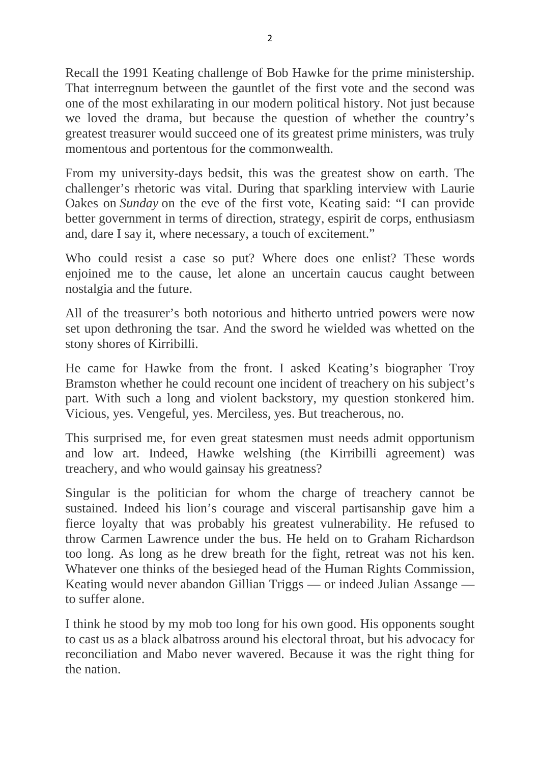Recall the 1991 Keating challenge of Bob Hawke for the prime ministership. That interregnum between the gauntlet of the first vote and the second was one of the most exhilarating in our modern political history. Not just because we loved the drama, but because the question of whether the country's greatest treasurer would succeed one of its greatest prime ministers, was truly momentous and portentous for the commonwealth.

From my university-days bedsit, this was the greatest show on earth. The challenger's rhetoric was vital. During that sparkling interview with Laurie Oakes on *Sunday* on the eve of the first vote, Keating said: "I can provide better government in terms of direction, strategy, espirit de corps, enthusiasm and, dare I say it, where necessary, a touch of excitement."

Who could resist a case so put? Where does one enlist? These words enjoined me to the cause, let alone an uncertain caucus caught between nostalgia and the future.

All of the treasurer's both notorious and hitherto untried powers were now set upon dethroning the tsar. And the sword he wielded was whetted on the stony shores of Kirribilli.

He came for Hawke from the front. I asked Keating's biographer Troy Bramston whether he could recount one incident of treachery on his subject's part. With such a long and violent backstory, my question stonkered him. Vicious, yes. Vengeful, yes. Merciless, yes. But treacherous, no.

This surprised me, for even great statesmen must needs admit opportunism and low art. Indeed, Hawke welshing (the Kirribilli agreement) was treachery, and who would gainsay his greatness?

Singular is the politician for whom the charge of treachery cannot be sustained. Indeed his lion's courage and visceral partisanship gave him a fierce loyalty that was probably his greatest vulnerability. He refused to throw Carmen Lawrence under the bus. He held on to Graham Richardson too long. As long as he drew breath for the fight, retreat was not his ken. Whatever one thinks of the besieged head of the Human Rights Commission, Keating would never abandon Gillian Triggs — or indeed Julian Assange to suffer alone.

I think he stood by my mob too long for his own good. His opponents sought to cast us as a black albatross around his electoral throat, but his advocacy for reconciliation and Mabo never wavered. Because it was the right thing for the nation.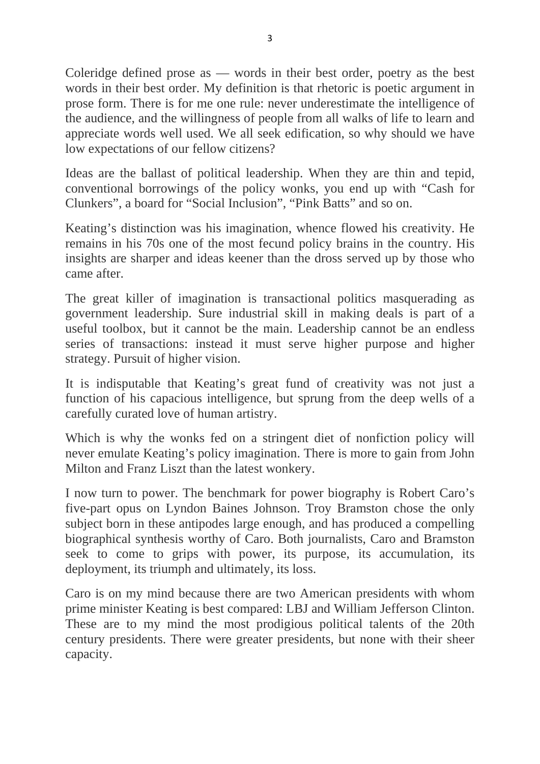Coleridge defined prose as — words in their best order, poetry as the best words in their best order. My definition is that rhetoric is poetic argument in prose form. There is for me one rule: never underestimate the intelligence of the audience, and the willingness of people from all walks of life to learn and appreciate words well used. We all seek edification, so why should we have low expectations of our fellow citizens?

Ideas are the ballast of political leadership. When they are thin and tepid, conventional borrowings of the policy wonks, you end up with "Cash for Clunkers", a board for "Social Inclusion", "Pink Batts" and so on.

Keating's distinction was his imagination, whence flowed his creativity. He remains in his 70s one of the most fecund policy brains in the country. His insights are sharper and ideas keener than the dross served up by those who came after.

The great killer of imagination is transactional politics masquerading as government leadership. Sure industrial skill in making deals is part of a useful toolbox, but it cannot be the main. Leadership cannot be an endless series of transactions: instead it must serve higher purpose and higher strategy. Pursuit of higher vision.

It is indisputable that Keating's great fund of creativity was not just a function of his capacious intelligence, but sprung from the deep wells of a carefully curated love of human artistry.

Which is why the wonks fed on a stringent diet of nonfiction policy will never emulate Keating's policy imagination. There is more to gain from John Milton and Franz Liszt than the latest wonkery.

I now turn to power. The benchmark for power biography is Robert Caro's five-part opus on Lyndon Baines Johnson. Troy Bramston chose the only subject born in these antipodes large enough, and has produced a compelling biographical synthesis worthy of Caro. Both journalists, Caro and Bramston seek to come to grips with power, its purpose, its accumulation, its deployment, its triumph and ultimately, its loss.

Caro is on my mind because there are two American presidents with whom prime minister Keating is best compared: LBJ and William Jefferson Clinton. These are to my mind the most prodigious political talents of the 20th century presidents. There were greater presidents, but none with their sheer capacity.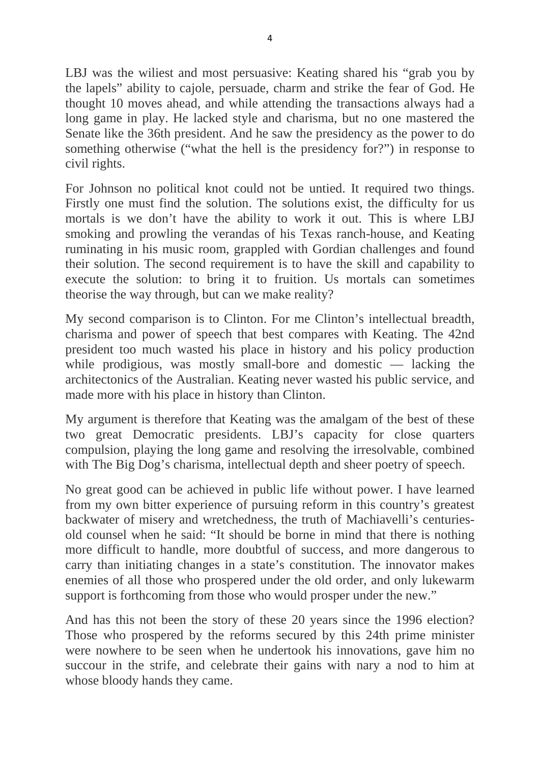LBJ was the wiliest and most persuasive: Keating shared his "grab you by the lapels" ability to cajole, persuade, charm and strike the fear of God. He thought 10 moves ahead, and while attending the transactions always had a long game in play. He lacked style and charisma, but no one mastered the Senate like the 36th president. And he saw the presidency as the power to do something otherwise ("what the hell is the presidency for?") in response to civil rights.

For Johnson no political knot could not be untied. It required two things. Firstly one must find the solution. The solutions exist, the difficulty for us mortals is we don't have the ability to work it out. This is where LBJ smoking and prowling the verandas of his Texas ranch-house, and Keating ruminating in his music room, grappled with Gordian challenges and found their solution. The second requirement is to have the skill and capability to execute the solution: to bring it to fruition. Us mortals can sometimes theorise the way through, but can we make reality?

My second comparison is to Clinton. For me Clinton's intellectual breadth, charisma and power of speech that best compares with Keating. The 42nd president too much wasted his place in history and his policy production while prodigious, was mostly small-bore and domestic — lacking the architectonics of the Australian. Keating never wasted his public service, and made more with his place in history than Clinton.

My argument is therefore that Keating was the amalgam of the best of these two great Democratic presidents. LBJ's capacity for close quarters compulsion, playing the long game and resolving the irresolvable, combined with The Big Dog's charisma, intellectual depth and sheer poetry of speech.

No great good can be achieved in public life without power. I have learned from my own bitter experience of pursuing reform in this country's greatest backwater of misery and wretchedness, the truth of Machiavelli's centuriesold counsel when he said: "It should be borne in mind that there is nothing more difficult to handle, more doubtful of success, and more dangerous to carry than initiating changes in a state's constitution. The innovator makes enemies of all those who prospered under the old order, and only lukewarm support is forthcoming from those who would prosper under the new."

And has this not been the story of these 20 years since the 1996 election? Those who prospered by the reforms secured by this 24th prime minister were nowhere to be seen when he undertook his innovations, gave him no succour in the strife, and celebrate their gains with nary a nod to him at whose bloody hands they came.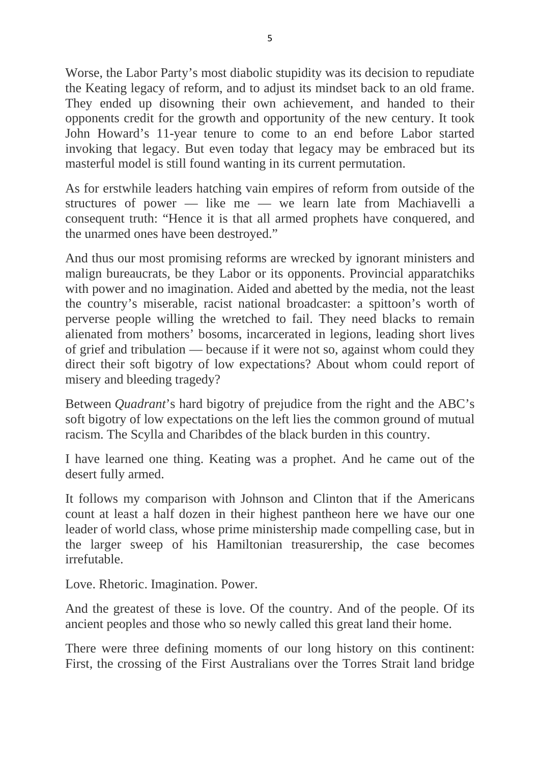Worse, the Labor Party's most diabolic stupidity was its decision to repudiate the Keating legacy of reform, and to adjust its mindset back to an old frame. They ended up disowning their own achievement, and handed to their opponents credit for the growth and opportunity of the new century. It took John Howard's 11-year tenure to come to an end before Labor started invoking that legacy. But even today that legacy may be embraced but its masterful model is still found wanting in its current permutation.

As for erstwhile leaders hatching vain empires of reform from outside of the structures of power — like me — we learn late from Machiavelli a consequent truth: "Hence it is that all armed prophets have conquered, and the unarmed ones have been destroyed."

And thus our most promising reforms are wrecked by ignorant ministers and malign bureaucrats, be they Labor or its opponents. Provincial apparatchiks with power and no imagination. Aided and abetted by the media, not the least the country's miserable, racist national broadcaster: a spittoon's worth of perverse people willing the wretched to fail. They need blacks to remain alienated from mothers' bosoms, incarcerated in legions, leading short lives of grief and tribulation — because if it were not so, against whom could they direct their soft bigotry of low expectations? About whom could report of misery and bleeding tragedy?

Between *Quadrant*'s hard bigotry of prejudice from the right and the ABC's soft bigotry of low expectations on the left lies the common ground of mutual racism. The Scylla and Charibdes of the black burden in this country.

I have learned one thing. Keating was a prophet. And he came out of the desert fully armed.

It follows my comparison with Johnson and Clinton that if the Americans count at least a half dozen in their highest pantheon here we have our one leader of world class, whose prime ministership made compelling case, but in the larger sweep of his Hamiltonian treasurership, the case becomes irrefutable.

Love. Rhetoric. Imagination. Power.

And the greatest of these is love. Of the country. And of the people. Of its ancient peoples and those who so newly called this great land their home.

There were three defining moments of our long history on this continent: First, the crossing of the First Australians over the Torres Strait land bridge